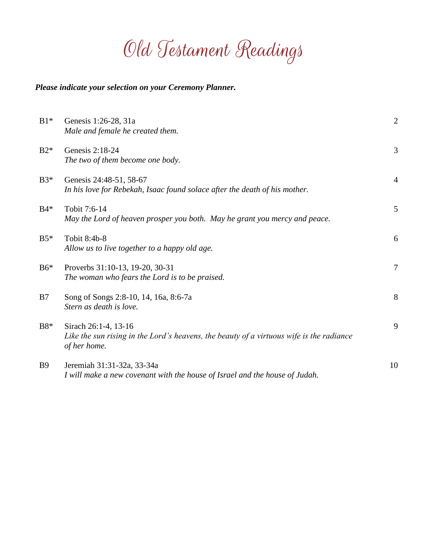# Old Testament Readings

## *Please indicate your selection on your Ceremony Planner.*

| $B1*$      | Genesis 1:26-28, 31a<br>Male and female he created them.                                                                         | $\overline{2}$ |
|------------|----------------------------------------------------------------------------------------------------------------------------------|----------------|
| $B2*$      | Genesis 2:18-24<br>The two of them become one body.                                                                              | 3              |
| $B3*$      | Genesis 24:48-51, 58-67<br>In his love for Rebekah, Isaac found solace after the death of his mother.                            | $\overline{4}$ |
| $B4*$      | Tobit 7:6-14<br>May the Lord of heaven prosper you both. May he grant you mercy and peace.                                       | 5              |
| $B5*$      | Tobit 8:4b-8<br>Allow us to live together to a happy old age.                                                                    | 6              |
| $B6*$      | Proverbs 31:10-13, 19-20, 30-31<br>The woman who fears the Lord is to be praised.                                                | $\overline{7}$ |
| B7         | Song of Songs 2:8-10, 14, 16a, 8:6-7a<br>Stern as death is love.                                                                 | 8              |
| $B8*$      | Sirach 26:1-4, 13-16<br>Like the sun rising in the Lord's heavens, the beauty of a virtuous wife is the radiance<br>of her home. | 9              |
| <b>B</b> 9 | Jeremiah 31:31-32a, 33-34a<br>I will make a new covenant with the house of Israel and the house of Judah.                        | 10             |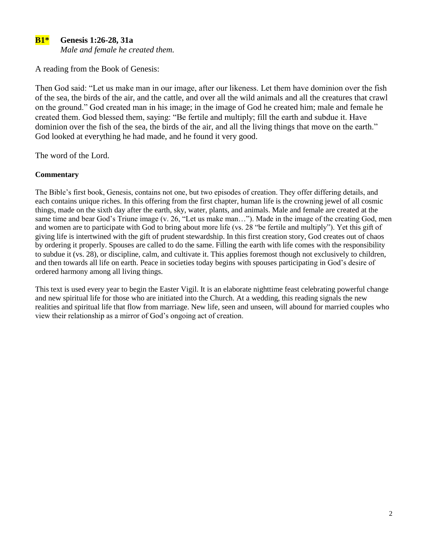## **B1\* Genesis 1:26-28, 31a**

*Male and female he created them.*

A reading from the Book of Genesis:

Then God said: "Let us make man in our image, after our likeness. Let them have dominion over the fish of the sea, the birds of the air, and the cattle, and over all the wild animals and all the creatures that crawl on the ground." God created man in his image; in the image of God he created him; male and female he created them. God blessed them, saying: "Be fertile and multiply; fill the earth and subdue it. Have dominion over the fish of the sea, the birds of the air, and all the living things that move on the earth." God looked at everything he had made, and he found it very good.

The word of the Lord.

## **Commentary**

The Bible's first book, Genesis, contains not one, but two episodes of creation. They offer differing details, and each contains unique riches. In this offering from the first chapter, human life is the crowning jewel of all cosmic things, made on the sixth day after the earth, sky, water, plants, and animals. Male and female are created at the same time and bear God's Triune image (v. 26, "Let us make man..."). Made in the image of the creating God, men and women are to participate with God to bring about more life (vs. 28 "be fertile and multiply"). Yet this gift of giving life is intertwined with the gift of prudent stewardship. In this first creation story, God creates out of chaos by ordering it properly. Spouses are called to do the same. Filling the earth with life comes with the responsibility to subdue it (vs. 28), or discipline, calm, and cultivate it. This applies foremost though not exclusively to children, and then towards all life on earth. Peace in societies today begins with spouses participating in God's desire of ordered harmony among all living things.

This text is used every year to begin the Easter Vigil. It is an elaborate nighttime feast celebrating powerful change and new spiritual life for those who are initiated into the Church. At a wedding, this reading signals the new realities and spiritual life that flow from marriage. New life, seen and unseen, will abound for married couples who view their relationship as a mirror of God's ongoing act of creation.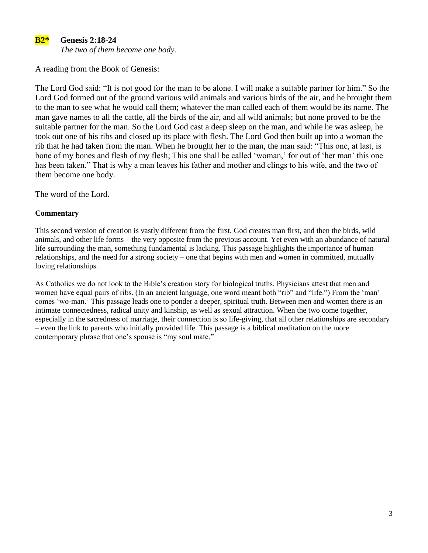## **B2\* Genesis 2:18-24**

*The two of them become one body.*

A reading from the Book of Genesis:

The Lord God said: "It is not good for the man to be alone. I will make a suitable partner for him." So the Lord God formed out of the ground various wild animals and various birds of the air, and he brought them to the man to see what he would call them; whatever the man called each of them would be its name. The man gave names to all the cattle, all the birds of the air, and all wild animals; but none proved to be the suitable partner for the man. So the Lord God cast a deep sleep on the man, and while he was asleep, he took out one of his ribs and closed up its place with flesh. The Lord God then built up into a woman the rib that he had taken from the man. When he brought her to the man, the man said: "This one, at last, is bone of my bones and flesh of my flesh; This one shall be called 'woman,' for out of 'her man' this one has been taken." That is why a man leaves his father and mother and clings to his wife, and the two of them become one body.

The word of the Lord.

## **Commentary**

This second version of creation is vastly different from the first. God creates man first, and then the birds, wild animals, and other life forms – the very opposite from the previous account. Yet even with an abundance of natural life surrounding the man, something fundamental is lacking. This passage highlights the importance of human relationships, and the need for a strong society – one that begins with men and women in committed, mutually loving relationships.

As Catholics we do not look to the Bible's creation story for biological truths. Physicians attest that men and women have equal pairs of ribs. (In an ancient language, one word meant both "rib" and "life.") From the 'man' comes 'wo-man.' This passage leads one to ponder a deeper, spiritual truth. Between men and women there is an intimate connectedness, radical unity and kinship, as well as sexual attraction. When the two come together, especially in the sacredness of marriage, their connection is so life-giving, that all other relationships are secondary – even the link to parents who initially provided life. This passage is a biblical meditation on the more contemporary phrase that one's spouse is "my soul mate."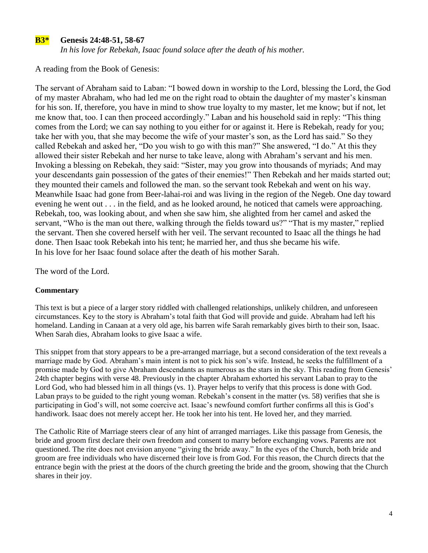## **B3\* Genesis 24:48-51, 58-67**

*In his love for Rebekah, Isaac found solace after the death of his mother.*

A reading from the Book of Genesis:

The servant of Abraham said to Laban: "I bowed down in worship to the Lord, blessing the Lord, the God of my master Abraham, who had led me on the right road to obtain the daughter of my master's kinsman for his son. If, therefore, you have in mind to show true loyalty to my master, let me know; but if not, let me know that, too. I can then proceed accordingly." Laban and his household said in reply: "This thing comes from the Lord; we can say nothing to you either for or against it. Here is Rebekah, ready for you; take her with you, that she may become the wife of your master's son, as the Lord has said." So they called Rebekah and asked her, "Do you wish to go with this man?" She answered, "I do." At this they allowed their sister Rebekah and her nurse to take leave, along with Abraham's servant and his men. Invoking a blessing on Rebekah, they said: "Sister, may you grow into thousands of myriads; And may your descendants gain possession of the gates of their enemies!" Then Rebekah and her maids started out; they mounted their camels and followed the man. so the servant took Rebekah and went on his way. Meanwhile Isaac had gone from Beer-lahai-roi and was living in the region of the Negeb. One day toward evening he went out . . . in the field, and as he looked around, he noticed that camels were approaching. Rebekah, too, was looking about, and when she saw him, she alighted from her camel and asked the servant, "Who is the man out there, walking through the fields toward us?" "That is my master," replied the servant. Then she covered herself with her veil. The servant recounted to Isaac all the things he had done. Then Isaac took Rebekah into his tent; he married her, and thus she became his wife. In his love for her Isaac found solace after the death of his mother Sarah.

The word of the Lord.

#### **Commentary**

This text is but a piece of a larger story riddled with challenged relationships, unlikely children, and unforeseen circumstances. Key to the story is Abraham's total faith that God will provide and guide. Abraham had left his homeland. Landing in Canaan at a very old age, his barren wife Sarah remarkably gives birth to their son, Isaac. When Sarah dies, Abraham looks to give Isaac a wife.

This snippet from that story appears to be a pre-arranged marriage, but a second consideration of the text reveals a marriage made by God. Abraham's main intent is not to pick his son's wife. Instead, he seeks the fulfillment of a promise made by God to give Abraham descendants as numerous as the stars in the sky. This reading from Genesis' 24th chapter begins with verse 48. Previously in the chapter Abraham exhorted his servant Laban to pray to the Lord God, who had blessed him in all things (vs. 1). Prayer helps to verify that this process is done with God. Laban prays to be guided to the right young woman. Rebekah's consent in the matter (vs. 58) verifies that she is participating in God's will, not some coercive act. Isaac's newfound comfort further confirms all this is God's handiwork. Isaac does not merely accept her. He took her into his tent. He loved her, and they married.

The Catholic Rite of Marriage steers clear of any hint of arranged marriages. Like this passage from Genesis, the bride and groom first declare their own freedom and consent to marry before exchanging vows. Parents are not questioned. The rite does not envision anyone "giving the bride away." In the eyes of the Church, both bride and groom are free individuals who have discerned their love is from God. For this reason, the Church directs that the entrance begin with the priest at the doors of the church greeting the bride and the groom, showing that the Church shares in their joy.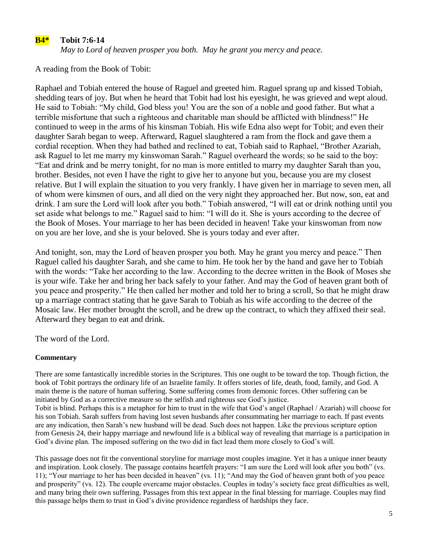## **B4\* Tobit 7:6-14**

*May to Lord of heaven prosper you both. May he grant you mercy and peace.*

A reading from the Book of Tobit:

Raphael and Tobiah entered the house of Raguel and greeted him. Raguel sprang up and kissed Tobiah, shedding tears of joy. But when he heard that Tobit had lost his eyesight, he was grieved and wept aloud. He said to Tobiah: "My child, God bless you! You are the son of a noble and good father. But what a terrible misfortune that such a righteous and charitable man should be afflicted with blindness!" He continued to weep in the arms of his kinsman Tobiah. His wife Edna also wept for Tobit; and even their daughter Sarah began to weep. Afterward, Raguel slaughtered a ram from the flock and gave them a cordial reception. When they had bathed and reclined to eat, Tobiah said to Raphael, "Brother Azariah, ask Raguel to let me marry my kinswoman Sarah." Raguel overheard the words; so he said to the boy: "Eat and drink and be merry tonight, for no man is more entitled to marry my daughter Sarah than you, brother. Besides, not even I have the right to give her to anyone but you, because you are my closest relative. But I will explain the situation to you very frankly. I have given her in marriage to seven men, all of whom were kinsmen of ours, and all died on the very night they approached her. But now, son, eat and drink. I am sure the Lord will look after you both." Tobiah answered, "I will eat or drink nothing until you set aside what belongs to me." Raguel said to him: "I will do it. She is yours according to the decree of the Book of Moses. Your marriage to her has been decided in heaven! Take your kinswoman from now on you are her love, and she is your beloved. She is yours today and ever after.

And tonight, son, may the Lord of heaven prosper you both. May he grant you mercy and peace." Then Raguel called his daughter Sarah, and she came to him. He took her by the hand and gave her to Tobiah with the words: "Take her according to the law. According to the decree written in the Book of Moses she is your wife. Take her and bring her back safely to your father. And may the God of heaven grant both of you peace and prosperity." He then called her mother and told her to bring a scroll, So that he might draw up a marriage contract stating that he gave Sarah to Tobiah as his wife according to the decree of the Mosaic law. Her mother brought the scroll, and he drew up the contract, to which they affixed their seal. Afterward they began to eat and drink.

The word of the Lord.

### **Commentary**

There are some fantastically incredible stories in the Scriptures. This one ought to be toward the top. Though fiction, the book of Tobit portrays the ordinary life of an Israelite family. It offers stories of life, death, food, family, and God. A main theme is the nature of human suffering. Some suffering comes from demonic forces. Other suffering can be initiated by God as a corrective measure so the selfish and righteous see God's justice.

Tobit is blind. Perhaps this is a metaphor for him to trust in the wife that God's angel (Raphael / Azariah) will choose for his son Tobiah. Sarah suffers from having lost seven husbands after consummating her marriage to each. If past events are any indication, then Sarah's new husband will be dead. Such does not happen. Like the previous scripture option from Genesis 24, their happy marriage and newfound life is a biblical way of revealing that marriage is a participation in God's divine plan. The imposed suffering on the two did in fact lead them more closely to God's will.

This passage does not fit the conventional storyline for marriage most couples imagine. Yet it has a unique inner beauty and inspiration. Look closely. The passage contains heartfelt prayers: "I am sure the Lord will look after you both" (vs. 11); "Your marriage to her has been decided in heaven" (vs. 11); "And may the God of heaven grant both of you peace and prosperity" (vs. 12). The couple overcame major obstacles. Couples in today's society face great difficulties as well, and many bring their own suffering. Passages from this text appear in the final blessing for marriage. Couples may find this passage helps them to trust in God's divine providence regardless of hardships they face.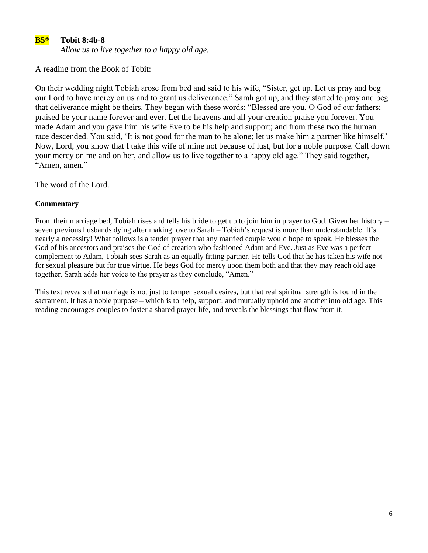## **B5\* Tobit 8:4b-8**

*Allow us to live together to a happy old age.*

A reading from the Book of Tobit:

On their wedding night Tobiah arose from bed and said to his wife, "Sister, get up. Let us pray and beg our Lord to have mercy on us and to grant us deliverance." Sarah got up, and they started to pray and beg that deliverance might be theirs. They began with these words: "Blessed are you, O God of our fathers; praised be your name forever and ever. Let the heavens and all your creation praise you forever. You made Adam and you gave him his wife Eve to be his help and support; and from these two the human race descended. You said, 'It is not good for the man to be alone; let us make him a partner like himself.' Now, Lord, you know that I take this wife of mine not because of lust, but for a noble purpose. Call down your mercy on me and on her, and allow us to live together to a happy old age." They said together, "Amen, amen."

The word of the Lord.

## **Commentary**

From their marriage bed, Tobiah rises and tells his bride to get up to join him in prayer to God. Given her history – seven previous husbands dying after making love to Sarah – Tobiah's request is more than understandable. It's nearly a necessity! What follows is a tender prayer that any married couple would hope to speak. He blesses the God of his ancestors and praises the God of creation who fashioned Adam and Eve. Just as Eve was a perfect complement to Adam, Tobiah sees Sarah as an equally fitting partner. He tells God that he has taken his wife not for sexual pleasure but for true virtue. He begs God for mercy upon them both and that they may reach old age together. Sarah adds her voice to the prayer as they conclude, "Amen."

This text reveals that marriage is not just to temper sexual desires, but that real spiritual strength is found in the sacrament. It has a noble purpose – which is to help, support, and mutually uphold one another into old age. This reading encourages couples to foster a shared prayer life, and reveals the blessings that flow from it.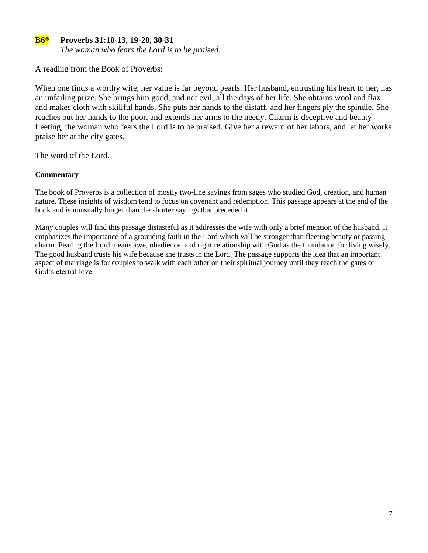## **B6\* Proverbs 31:10-13, 19-20, 30-31**

*The woman who fears the Lord is to be praised.*

A reading from the Book of Proverbs:

When one finds a worthy wife, her value is far beyond pearls. Her husband, entrusting his heart to her, has an unfailing prize. She brings him good, and not evil, all the days of her life. She obtains wool and flax and makes cloth with skillful hands. She puts her hands to the distaff, and her fingers ply the spindle. She reaches out her hands to the poor, and extends her arms to the needy. Charm is deceptive and beauty fleeting; the woman who fears the Lord is to be praised. Give her a reward of her labors, and let her works praise her at the city gates.

The word of the Lord.

## **Commentary**

The book of Proverbs is a collection of mostly two-line sayings from sages who studied God, creation, and human nature. These insights of wisdom tend to focus on covenant and redemption. This passage appears at the end of the book and is unusually longer than the shorter sayings that preceded it.

Many couples will find this passage distasteful as it addresses the wife with only a brief mention of the husband. It emphasizes the importance of a grounding faith in the Lord which will be stronger than fleeting beauty or passing charm. Fearing the Lord means awe, obedience, and right relationship with God as the foundation for living wisely. The good husband trusts his wife because she trusts in the Lord. The passage supports the idea that an important aspect of marriage is for couples to walk with each other on their spiritual journey until they reach the gates of God's eternal love.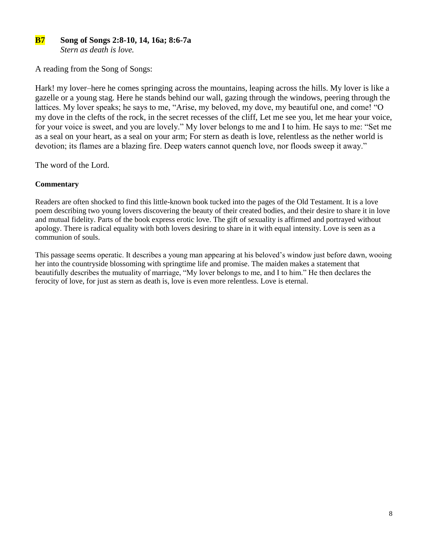### **B7 Song of Songs 2:8-10, 14, 16a; 8:6-7a**  *Stern as death is love.*

A reading from the Song of Songs:

Hark! my lover–here he comes springing across the mountains, leaping across the hills. My lover is like a gazelle or a young stag. Here he stands behind our wall, gazing through the windows, peering through the lattices. My lover speaks; he says to me, "Arise, my beloved, my dove, my beautiful one, and come! "O my dove in the clefts of the rock, in the secret recesses of the cliff, Let me see you, let me hear your voice, for your voice is sweet, and you are lovely." My lover belongs to me and I to him. He says to me: "Set me as a seal on your heart, as a seal on your arm; For stern as death is love, relentless as the nether world is devotion; its flames are a blazing fire. Deep waters cannot quench love, nor floods sweep it away."

The word of the Lord.

## **Commentary**

Readers are often shocked to find this little-known book tucked into the pages of the Old Testament. It is a love poem describing two young lovers discovering the beauty of their created bodies, and their desire to share it in love and mutual fidelity. Parts of the book express erotic love. The gift of sexuality is affirmed and portrayed without apology. There is radical equality with both lovers desiring to share in it with equal intensity. Love is seen as a communion of souls.

This passage seems operatic. It describes a young man appearing at his beloved's window just before dawn, wooing her into the countryside blossoming with springtime life and promise. The maiden makes a statement that beautifully describes the mutuality of marriage, "My lover belongs to me, and I to him." He then declares the ferocity of love, for just as stern as death is, love is even more relentless. Love is eternal.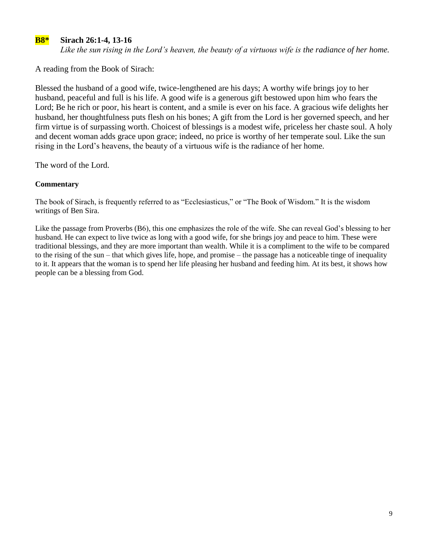## **B8\* Sirach 26:1-4, 13-16**

Like the sun rising in the Lord's heaven, the beauty of a virtuous wife is the radiance of her home.

A reading from the Book of Sirach:

Blessed the husband of a good wife, twice-lengthened are his days; A worthy wife brings joy to her husband, peaceful and full is his life. A good wife is a generous gift bestowed upon him who fears the Lord; Be he rich or poor, his heart is content, and a smile is ever on his face. A gracious wife delights her husband, her thoughtfulness puts flesh on his bones; A gift from the Lord is her governed speech, and her firm virtue is of surpassing worth. Choicest of blessings is a modest wife, priceless her chaste soul. A holy and decent woman adds grace upon grace; indeed, no price is worthy of her temperate soul. Like the sun rising in the Lord's heavens, the beauty of a virtuous wife is the radiance of her home.

The word of the Lord.

### **Commentary**

The book of Sirach, is frequently referred to as "Ecclesiasticus," or "The Book of Wisdom." It is the wisdom writings of Ben Sira.

Like the passage from Proverbs (B6), this one emphasizes the role of the wife. She can reveal God's blessing to her husband. He can expect to live twice as long with a good wife, for she brings joy and peace to him. These were traditional blessings, and they are more important than wealth. While it is a compliment to the wife to be compared to the rising of the sun – that which gives life, hope, and promise – the passage has a noticeable tinge of inequality to it. It appears that the woman is to spend her life pleasing her husband and feeding him. At its best, it shows how people can be a blessing from God.